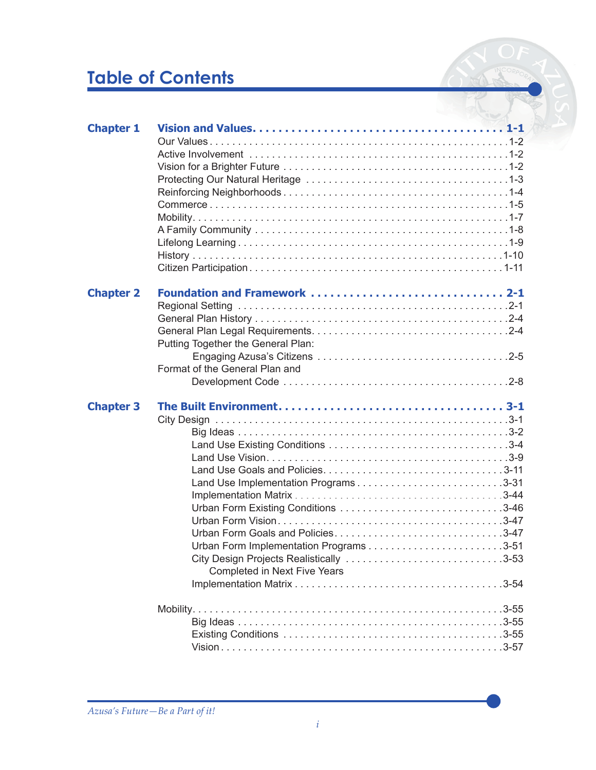## **Table of Contents**

| <b>Chapter 1</b> |                                                                                                                                                      |
|------------------|------------------------------------------------------------------------------------------------------------------------------------------------------|
| <b>Chapter 2</b> | Foundation and Framework  2-1<br>Putting Together the General Plan:<br>Format of the General Plan and                                                |
| <b>Chapter 3</b> | Land Use Implementation Programs3-31<br>Urban Form Goals and Policies3-47<br>City Design Projects Realistically 3-53<br>Completed in Next Five Years |
|                  |                                                                                                                                                      |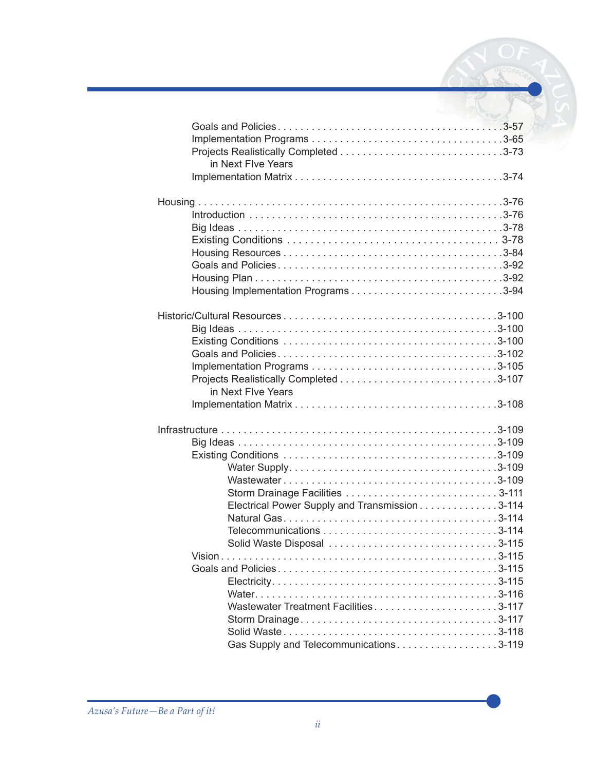| in Next Flve Years                             |  |
|------------------------------------------------|--|
|                                                |  |
|                                                |  |
|                                                |  |
|                                                |  |
|                                                |  |
|                                                |  |
|                                                |  |
|                                                |  |
|                                                |  |
|                                                |  |
|                                                |  |
|                                                |  |
|                                                |  |
|                                                |  |
|                                                |  |
| in Next Flve Years                             |  |
|                                                |  |
|                                                |  |
|                                                |  |
|                                                |  |
|                                                |  |
|                                                |  |
|                                                |  |
| Electrical Power Supply and Transmission 3-114 |  |
|                                                |  |
|                                                |  |
| Solid Waste Disposal 3-115                     |  |
|                                                |  |
|                                                |  |
|                                                |  |
|                                                |  |
| Wastewater Treatment Facilities3-117           |  |
|                                                |  |
|                                                |  |
| Gas Supply and Telecommunications3-119         |  |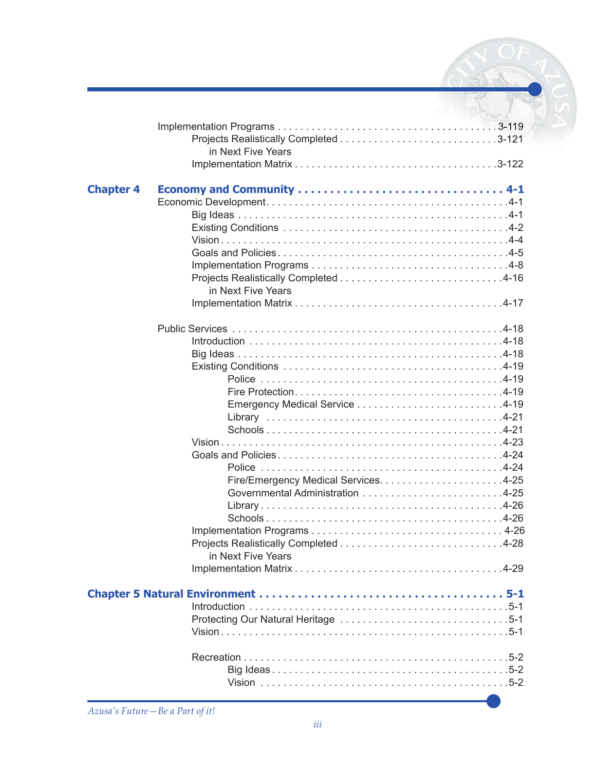|                  | <b>CONTRACTOR</b>  |
|------------------|--------------------|
|                  | in Next Five Years |
| <b>Chapter 4</b> |                    |
|                  | in Next Five Years |
|                  |                    |
|                  |                    |
|                  | in Next Five Years |
|                  |                    |
|                  |                    |
|                  |                    |

 $\overline{a}$ 

 Big Ideas . . . . . . . . . . . . . . . . . . . . . . . . . . . . . . . . . . . . . . . . . .5-2 Vision . . . . . . . . . . . . . . . . . . . . . . . . . . . . . . . . . . . . . . . . . . . .5-2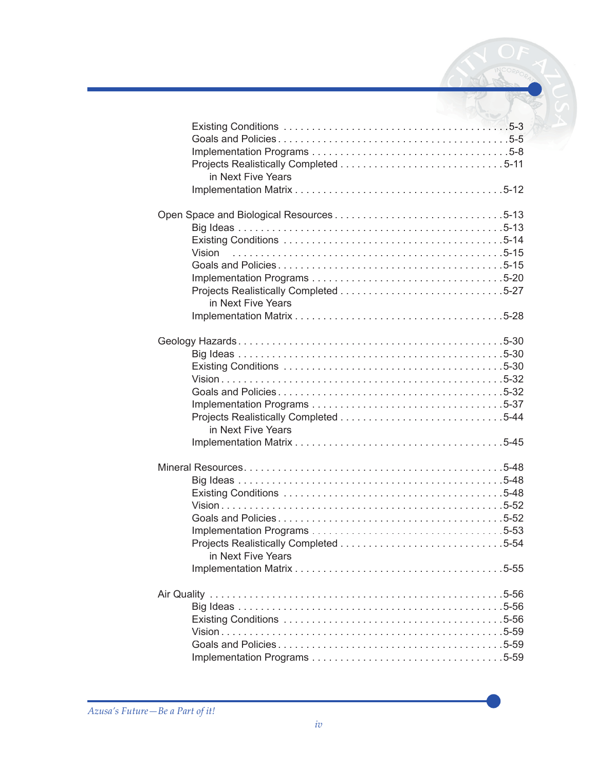| in Next Five Years           |  |
|------------------------------|--|
| Vision<br>in Next Five Years |  |
| in Next Five Years           |  |
| in Next Five Years           |  |
|                              |  |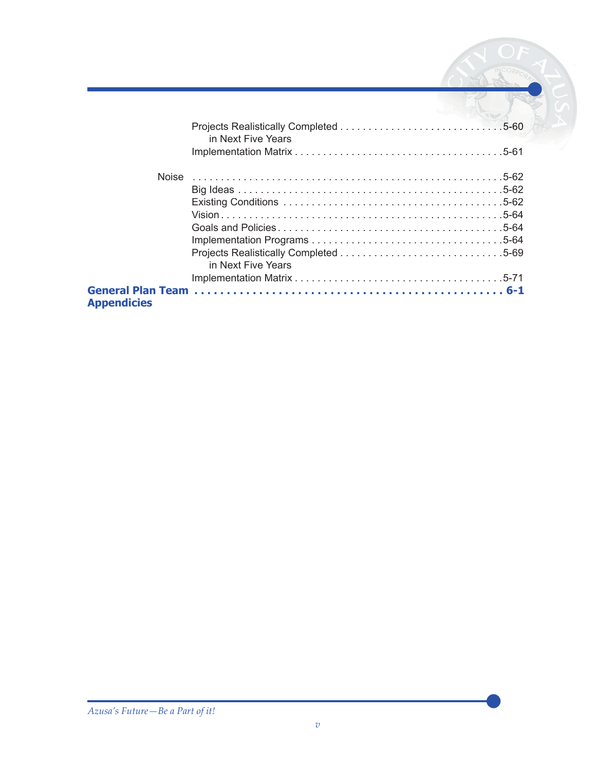|                    | in Next Five Years |  |
|--------------------|--------------------|--|
|                    |                    |  |
|                    |                    |  |
|                    |                    |  |
|                    |                    |  |
|                    |                    |  |
|                    |                    |  |
|                    | in Next Five Years |  |
|                    |                    |  |
| <b>Appendicies</b> |                    |  |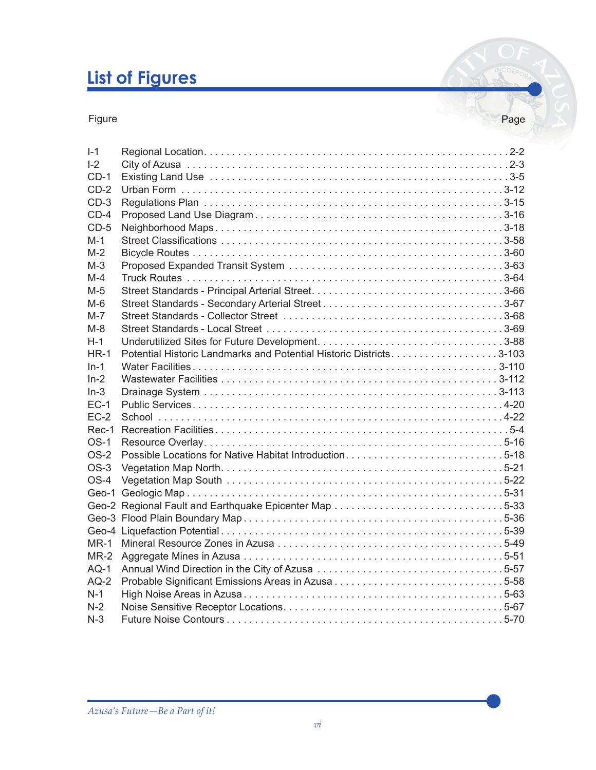# **List of Figures**

Figure Page Page 2014 and the Page 2014 state of the Page 2014 and the Page 2014 state Page 2014 and the Page

| Page |  |
|------|--|

| $I - 1$ |                                                                    |  |
|---------|--------------------------------------------------------------------|--|
| $I-2$   |                                                                    |  |
| $CD-1$  |                                                                    |  |
| $CD-2$  |                                                                    |  |
| $CD-3$  |                                                                    |  |
| $CD-4$  |                                                                    |  |
| $CD-5$  |                                                                    |  |
| $M-1$   |                                                                    |  |
| $M-2$   |                                                                    |  |
| $M-3$   |                                                                    |  |
| $M-4$   |                                                                    |  |
| M-5     |                                                                    |  |
| $M-6$   |                                                                    |  |
| $M-7$   |                                                                    |  |
| $M-S$   |                                                                    |  |
| $H-1$   |                                                                    |  |
| $HR-1$  | Potential Historic Landmarks and Potential Historic Districts3-103 |  |
| $In-1$  |                                                                    |  |
| $In-2$  |                                                                    |  |
| $In-3$  |                                                                    |  |
| $EC-1$  |                                                                    |  |
| $EC-2$  |                                                                    |  |
| $Rec-1$ |                                                                    |  |
| $OS-1$  |                                                                    |  |
| $OS-2$  | Possible Locations for Native Habitat Introduction5-18             |  |
| $OS-3$  |                                                                    |  |
| $OS-4$  |                                                                    |  |
|         |                                                                    |  |
|         |                                                                    |  |
|         |                                                                    |  |
|         |                                                                    |  |
| $MR-1$  |                                                                    |  |
| $MR-2$  |                                                                    |  |
| $AQ-1$  |                                                                    |  |
| $AQ-2$  |                                                                    |  |
| $N-1$   |                                                                    |  |
| $N-2$   |                                                                    |  |
| $N-3$   |                                                                    |  |